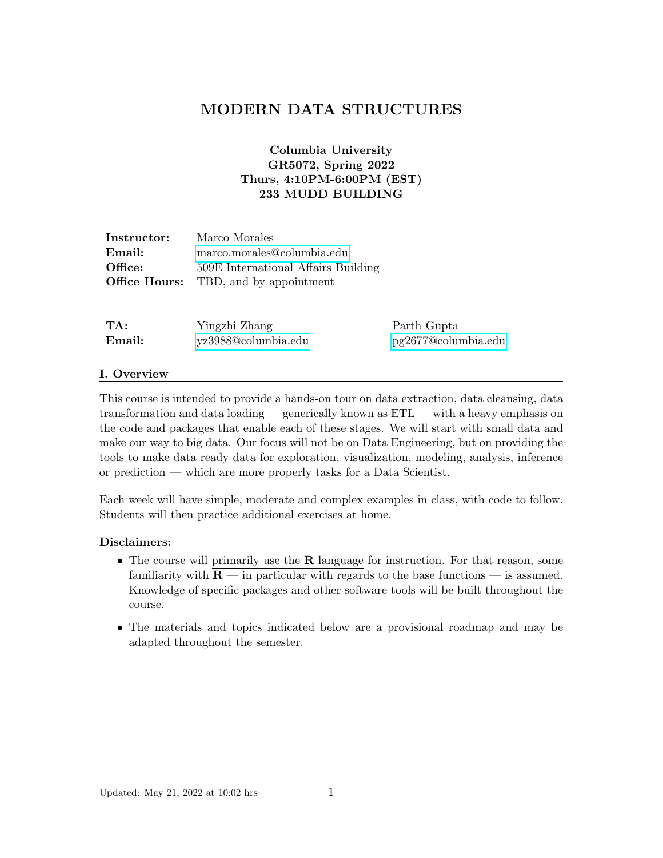# MODERN DATA STRUCTURES

# Columbia University GR5072, Spring 2022 Thurs, 4:10PM-6:00PM (EST) 233 MUDD BUILDING

| Instructor: | Marco Morales                                |
|-------------|----------------------------------------------|
| Email:      | marco.morales@columbia.edu                   |
| Office:     | 509E International Affairs Building          |
|             | <b>Office Hours:</b> TBD, and by appointment |

| TA:    | Yingzhi Zhang       | Parth Gupta         |
|--------|---------------------|---------------------|
| Email: | yz3988@columbia.edu | pg2677@columbia.edu |

### I. Overview

This course is intended to provide a hands-on tour on data extraction, data cleansing, data transformation and data loading — generically known as ETL — with a heavy emphasis on the code and packages that enable each of these stages. We will start with small data and make our way to big data. Our focus will not be on Data Engineering, but on providing the tools to make data ready data for exploration, visualization, modeling, analysis, inference or prediction — which are more properly tasks for a Data Scientist.

Each week will have simple, moderate and complex examples in class, with code to follow. Students will then practice additional exercises at home.

### Disclaimers:

- The course will primarily use the  $R$  language for instruction. For that reason, some familiarity with  $\mathbf{R}$  — in particular with regards to the base functions — is assumed. Knowledge of specific packages and other software tools will be built throughout the course.
- The materials and topics indicated below are a provisional roadmap and may be adapted throughout the semester.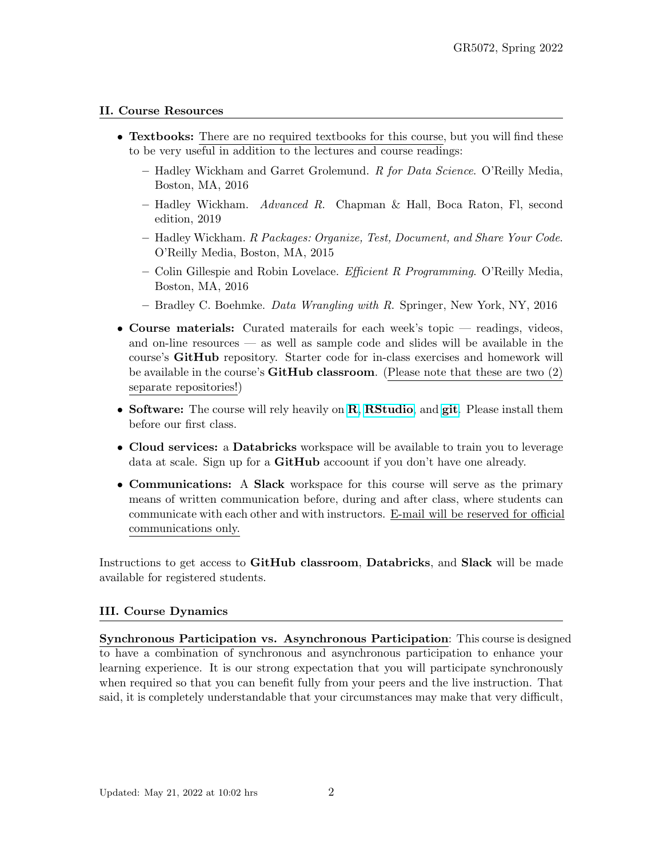# II. Course Resources

- Textbooks: There are no required textbooks for this course, but you will find these to be very useful in addition to the lectures and course readings:
	- Hadley Wickham and Garret Grolemund. R for Data Science. O'Reilly Media, Boston, MA, 2016
	- Hadley Wickham. Advanced R. Chapman & Hall, Boca Raton, Fl, second edition, 2019
	- Hadley Wickham. R Packages: Organize, Test, Document, and Share Your Code. O'Reilly Media, Boston, MA, 2015
	- Colin Gillespie and Robin Lovelace. *Efficient R Programming*. O'Reilly Media, Boston, MA, 2016
	- Bradley C. Boehmke. Data Wrangling with R. Springer, New York, NY, 2016
- Course materials: Curated materails for each week's topic readings, videos, and on-line resources — as well as sample code and slides will be available in the course's GitHub repository. Starter code for in-class exercises and homework will be available in the course's  $\bf GitHub$  classroom. (Please note that these are two (2) separate repositories!)
- Software: The course will rely heavily on **[R](https://www.r-project.org/)**, **[RStudio](https://www.rstudio.com/)**, and [git](https://git-scm.com/). Please install them before our first class.
- Cloud services: a Databricks workspace will be available to train you to leverage data at scale. Sign up for a GitHub accoount if you don't have one already.
- Communications: A Slack workspace for this course will serve as the primary means of written communication before, during and after class, where students can communicate with each other and with instructors. E-mail will be reserved for official communications only.

Instructions to get access to GitHub classroom, Databricks, and Slack will be made available for registered students.

# III. Course Dynamics

Synchronous Participation vs. Asynchronous Participation: This course is designed to have a combination of synchronous and asynchronous participation to enhance your learning experience. It is our strong expectation that you will participate synchronously when required so that you can benefit fully from your peers and the live instruction. That said, it is completely understandable that your circumstances may make that very difficult,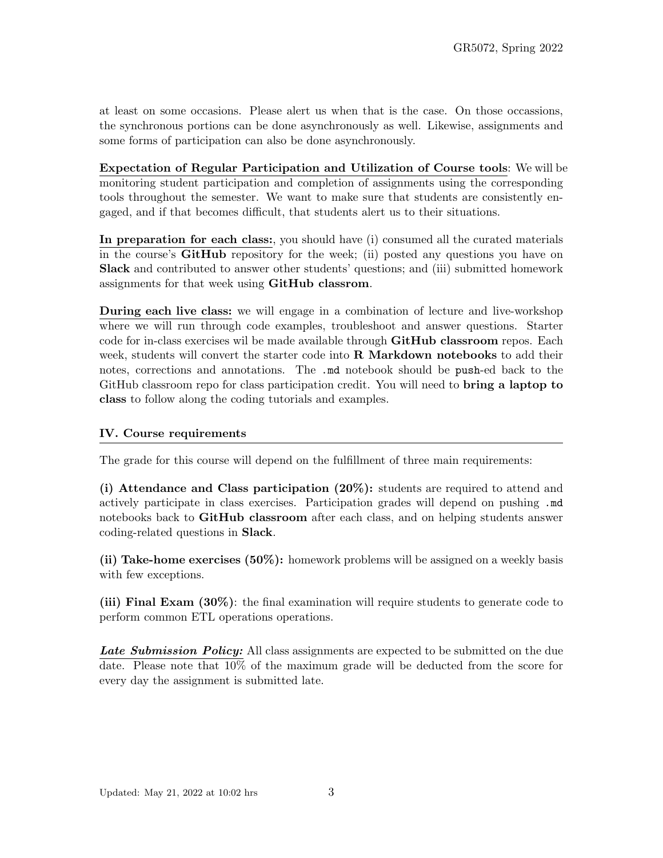at least on some occasions. Please alert us when that is the case. On those occassions, the synchronous portions can be done asynchronously as well. Likewise, assignments and some forms of participation can also be done asynchronously.

Expectation of Regular Participation and Utilization of Course tools: We will be monitoring student participation and completion of assignments using the corresponding tools throughout the semester. We want to make sure that students are consistently engaged, and if that becomes difficult, that students alert us to their situations.

In preparation for each class:, you should have (i) consumed all the curated materials in the course's GitHub repository for the week; (ii) posted any questions you have on Slack and contributed to answer other students' questions; and (iii) submitted homework assignments for that week using GitHub classrom.

During each live class: we will engage in a combination of lecture and live-workshop where we will run through code examples, troubleshoot and answer questions. Starter code for in-class exercises wil be made available through GitHub classroom repos. Each week, students will convert the starter code into **R** Markdown notebooks to add their notes, corrections and annotations. The .md notebook should be push-ed back to the GitHub classroom repo for class participation credit. You will need to **bring a laptop to** class to follow along the coding tutorials and examples.

## IV. Course requirements

The grade for this course will depend on the fulfillment of three main requirements:

(i) Attendance and Class participation (20%): students are required to attend and actively participate in class exercises. Participation grades will depend on pushing .md notebooks back to GitHub classroom after each class, and on helping students answer coding-related questions in Slack.

(ii) Take-home exercises (50%): homework problems will be assigned on a weekly basis with few exceptions.

(iii) Final Exam (30%): the final examination will require students to generate code to perform common ETL operations operations.

Late Submission Policy: All class assignments are expected to be submitted on the due date. Please note that 10% of the maximum grade will be deducted from the score for every day the assignment is submitted late.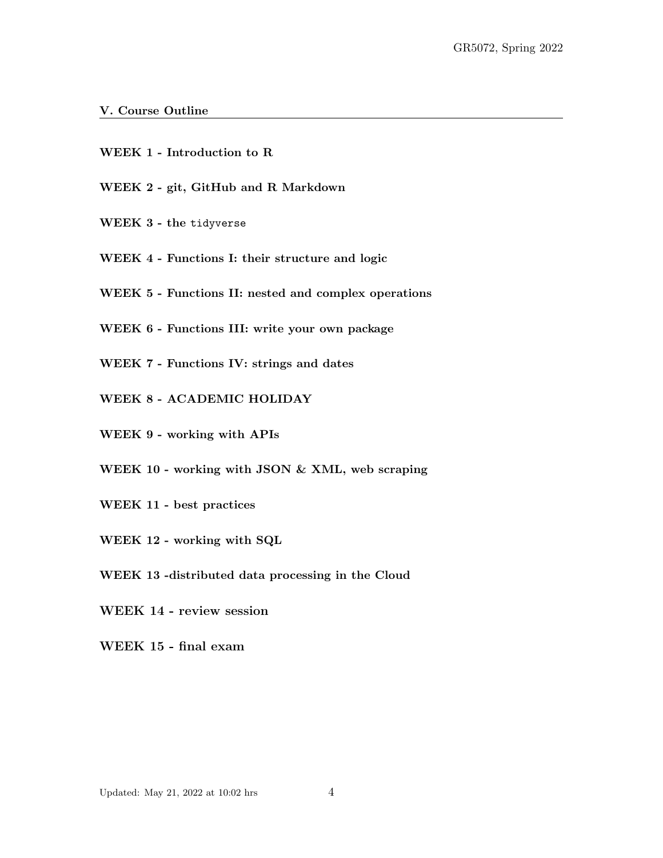### V. Course Outline

- WEEK 1 Introduction to R
- WEEK 2 git, GitHub and R Markdown
- WEEK 3 the tidyverse
- WEEK 4 Functions I: their structure and logic
- WEEK 5 Functions II: nested and complex operations
- WEEK 6 Functions III: write your own package
- WEEK 7 Functions IV: strings and dates
- WEEK 8 ACADEMIC HOLIDAY
- WEEK 9 working with APIs
- WEEK 10 working with JSON & XML, web scraping
- WEEK 11 best practices
- WEEK 12 working with SQL
- WEEK 13 -distributed data processing in the Cloud
- WEEK 14 review session
- WEEK 15 final exam